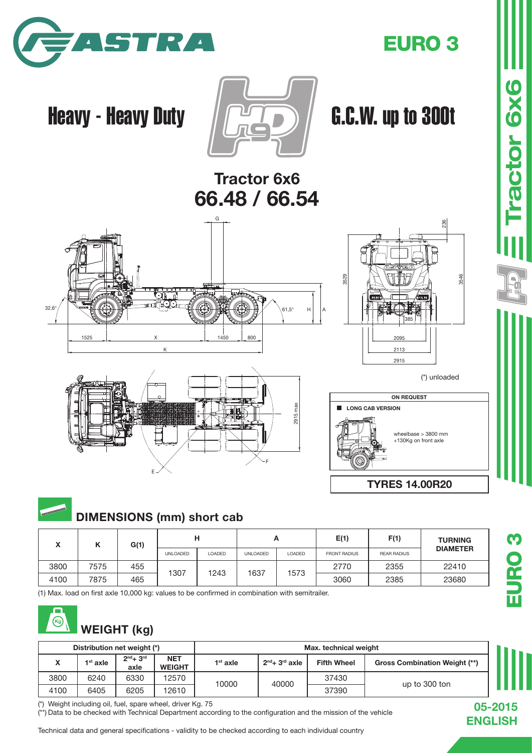

### EURO 3

# Heavy - Heavy Duty  $\sqrt{2\pi}$  G.C.W. up to 300t

Tractor 6x6 66.48 / 66.54







3546

**Tractor 6x6** 

236

+130Kg on front axle

TYRES 14.00R20

## DIMENSIONS (mm) short cab

| A    | r    | G(1) | н               |        |                 | n      | E(1)                | F(1)               | <b>TURNING</b>  |  |
|------|------|------|-----------------|--------|-----------------|--------|---------------------|--------------------|-----------------|--|
|      |      |      | <b>UNLOADED</b> | LOADED | <b>UNLOADED</b> | LOADED | <b>FRONT RADIUS</b> | <b>REAR RADIUS</b> | <b>DIAMETER</b> |  |
| 3800 | 7575 | 455  |                 |        |                 |        | 2770                | 2355               | 22410           |  |
| 4100 | 7875 | 465  | 1307            | 1243   | 1637            | 1573   | 3060                | 2385               | 23680           |  |

(1) Max. load on first axle 10,000 kg: values to be confirmed in combination with semitrailer.



| Distribution net weight (*) |            |                     |                             | Max. technical weight |                  |                    |                                      |  |
|-----------------------------|------------|---------------------|-----------------------------|-----------------------|------------------|--------------------|--------------------------------------|--|
| $\overline{\phantom{a}}$    | $1st$ axle | $2nd + 3rd$<br>axle | <b>NET</b><br><b>WEIGHT</b> | 1 <sup>st</sup> axle  | $2nd + 3rd$ axle | <b>Fifth Wheel</b> | <b>Gross Combination Weight (**)</b> |  |
| 3800                        | 6240       | 6330                | 12570                       | 10000                 | 40000            | 37430              |                                      |  |
| 4100                        | 6405       | 6205                | 12610                       |                       |                  | 37390              | up to 300 ton                        |  |

(\*) Weight including oil, fuel, spare wheel, driver Kg. 75

(\*\*) Data to be checked with Technical Department according to the configuration and the mission of the vehicle

Technical data and general specifications - validity to be checked according to each individual country

05-2015 ENGLISH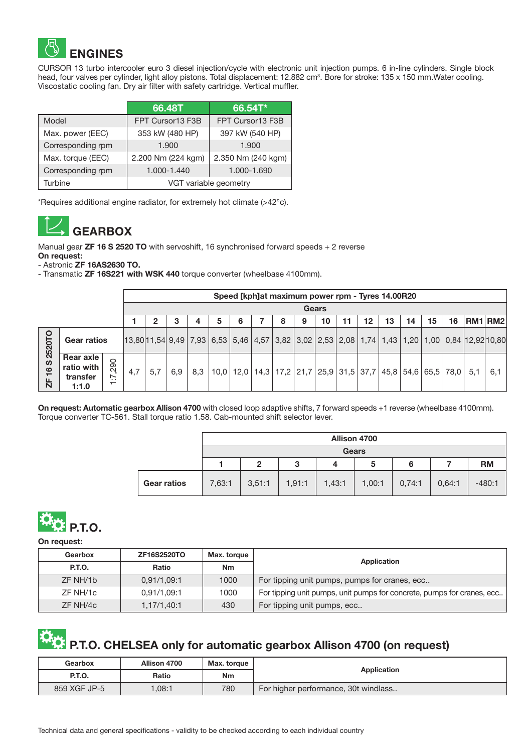

CURSOR 13 turbo intercooler euro 3 diesel injection/cycle with electronic unit injection pumps. 6 in-line cylinders. Single block head, four valves per cylinder, light alloy pistons. Total displacement: 12.882 cm<sup>3</sup>. Bore for stroke: 135 x 150 mm.Water cooling. Viscostatic cooling fan. Dry air filter with safety cartridge. Vertical muffler.

|                   | 66.48T                | 66.54T*            |  |  |
|-------------------|-----------------------|--------------------|--|--|
| Model             | FPT Cursor13 F3B      | FPT Cursor13 F3B   |  |  |
| Max. power (EEC)  | 353 kW (480 HP)       | 397 kW (540 HP)    |  |  |
| Corresponding rpm | 1.900                 | 1.900              |  |  |
| Max. torque (EEC) | 2.200 Nm (224 kgm)    | 2.350 Nm (240 kgm) |  |  |
| Corresponding rpm | 1.000-1.440           | 1.000-1.690        |  |  |
| Turbine           | VGT variable geometry |                    |  |  |

\*Requires additional engine radiator, for extremely hot climate (>42°c).



Manual gear **ZF 16 S 2520 TO** with servoshift, 16 synchronised forward speeds + 2 reverse

On request:

- Astronic ZF 16AS2630 TO.

- Transmatic ZF 16S221 with WSK 440 torque converter (wheelbase 4100mm).

|                         |                                              |                                       |     | Speed [kph]at maximum power rpm - Tyres 14.00R20 |     |     |   |   |  |   |   |                                                                                     |    |         |    |    |    |    |                                                                                                                                                                                                                  |     |
|-------------------------|----------------------------------------------|---------------------------------------|-----|--------------------------------------------------|-----|-----|---|---|--|---|---|-------------------------------------------------------------------------------------|----|---------|----|----|----|----|------------------------------------------------------------------------------------------------------------------------------------------------------------------------------------------------------------------|-----|
|                         |                                              |                                       |     | <b>Gears</b>                                     |     |     |   |   |  |   |   |                                                                                     |    |         |    |    |    |    |                                                                                                                                                                                                                  |     |
|                         |                                              |                                       |     | 2                                                |     |     | 5 | 6 |  | 8 | 9 | 10                                                                                  | 11 | $12 \,$ | 13 | 14 | 15 | 16 | RM1 RM2                                                                                                                                                                                                          |     |
| O<br>5<br>252           | <b>Gear ratios</b>                           |                                       |     |                                                  |     |     |   |   |  |   |   |                                                                                     |    |         |    |    |    |    | $13,80$  11,54 $\mid$ 9,49 $\mid$ 7,93 $\mid$ 6,53 $\mid$ 5,46 $\mid$ 4,57 $\mid$ 3,82 $\mid$ 3,02 $\mid$ 2,53 $\mid$ 2,08 $\mid$ 1,74 $\mid$ 1,43 $\mid$ 1,20 $\mid$ 1,00 $\mid$ 0,84 $\mid$ 12,92 $\mid$ 10,80 |     |
| ທ<br>$\frac{6}{5}$<br>占 | Rear axle<br>ratio with<br>transfer<br>1:1.0 | ,290<br>ż<br>$\overline{\phantom{0}}$ | 4,7 | 5.7                                              | 6.9 | 8,3 |   |   |  |   |   | $10,0$   12,0   14,3   17,2   21,7   25,9   31,5   37,7   45,8   54,6   65,5   78,0 |    |         |    |    |    |    | 5.1                                                                                                                                                                                                              | 6,1 |

On request: Automatic gearbox Allison 4700 with closed loop adaptive shifts, 7 forward speeds +1 reverse (wheelbase 4100mm). Torque converter TC-561. Stall torque ratio 1.58. Cab-mounted shift selector lever.

|                    | <b>Allison 4700</b> |              |        |        |        |        |        |           |  |  |  |
|--------------------|---------------------|--------------|--------|--------|--------|--------|--------|-----------|--|--|--|
|                    | <b>Gears</b>        |              |        |        |        |        |        |           |  |  |  |
|                    |                     | $\mathbf{2}$ | 3      |        | 5      | 6      |        | <b>RM</b> |  |  |  |
| <b>Gear ratios</b> | 7,63:1              | 3,51:1       | 1,91:1 | 1,43:1 | 1,00:1 | 0,74:1 | 0,64:1 | $-480:1$  |  |  |  |



On request:

| <b>ZF16S2520TO</b><br>Gearbox  |                     | Max. torque | Application                                                            |  |  |  |
|--------------------------------|---------------------|-------------|------------------------------------------------------------------------|--|--|--|
| <b>P.T.O.</b>                  | Ratio               | <b>Nm</b>   |                                                                        |  |  |  |
| ZF NH/1b                       | 0,91/1,09:1         | 1000        | For tipping unit pumps, pumps for cranes, ecc                          |  |  |  |
| ZF NH/1c                       | 0,91/1,09:1<br>1000 |             | For tipping unit pumps, unit pumps for concrete, pumps for cranes, ecc |  |  |  |
| 430<br>ZF NH/4c<br>1,17/1,40:1 |                     |             | For tipping unit pumps, ecc                                            |  |  |  |

# **P.T.O. CHELSEA only for automatic gearbox Allison 4700 (on request)**

| Gearbox                      | Allison 4700 | Max. torque | Application                          |  |  |  |
|------------------------------|--------------|-------------|--------------------------------------|--|--|--|
| <b>P.T.O.</b>                | Ratio        | Nm          |                                      |  |  |  |
| 780<br>859 XGF JP-5<br>.08:1 |              |             | For higher performance, 30t windlass |  |  |  |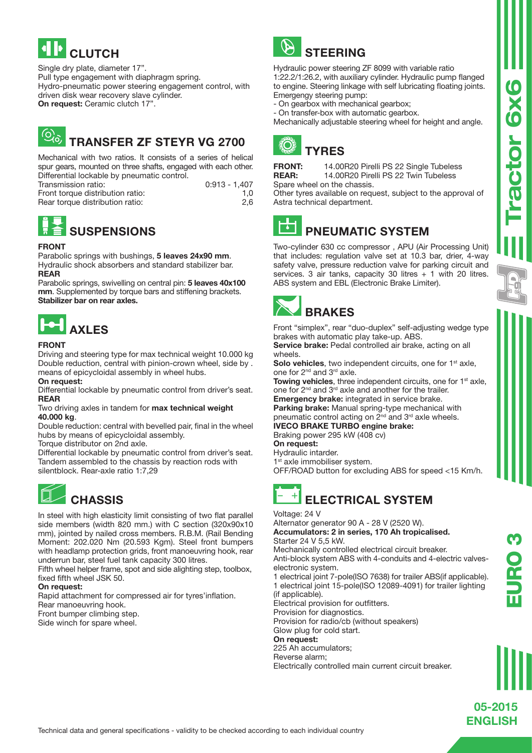

Single dry plate, diameter 17". Pull type engagement with diaphragm spring. Hydro-pneumatic power steering engagement control, with driven disk wear recovery slave cylinder. On request: Ceramic clutch 17".

#### ۷õ, TRANSFER ZF STEYR VG 2700

Mechanical with two ratios. It consists of a series of helical spur gears, mounted on three shafts, engaged with each other. Differential lockable by pneumatic control.

| Transmission ratio:              | 0:913 - 1.407 |
|----------------------------------|---------------|
|                                  |               |
| Front torque distribution ratio: | 1.0           |
| Rear torque distribution ratio:  | 2,6           |



#### FRONT

Parabolic springs with bushings, 5 leaves 24x90 mm. Hydraulic shock absorbers and standard stabilizer bar. REAR

Parabolic springs, swivelling on central pin: 5 leaves 40x100 mm. Supplemented by torque bars and stiffening brackets. Stabilizer bar on rear axles.



#### FRONT

Driving and steering type for max technical weight 10.000 kg Double reduction, central with pinion-crown wheel, side by . means of epicycloidal assembly in wheel hubs.

#### On request:

Differential lockable by pneumatic control from driver's seat. REAR

Two driving axles in tandem for max technical weight 40.000 kg.

Double reduction: central with bevelled pair, final in the wheel hubs by means of epicycloidal assembly.

Torque distributor on 2nd axle.

Differential lockable by pneumatic control from driver's seat. Tandem assembled to the chassis by reaction rods with silentblock. Rear-axle ratio 1:7,29

## **CHASSIS**

In steel with high elasticity limit consisting of two flat parallel side members (width 820 mm.) with C section (320x90x10 mm), jointed by nailed cross members. R.B.M. (Rail Bending Moment: 202.020 Nm (20.593 Kgm). Steel front bumpers with headlamp protection grids, front manoeuvring hook, rear underrun bar, steel fuel tank capacity 300 litres.

Fifth wheel helper frame, spot and side alighting step, toolbox, fixed fifth wheel JSK 50.

#### On request:

Rapid attachment for compressed air for tyres'inflation. Rear manoeuvring hook. Front bumper climbing step. Side winch for spare wheel.

P **STEERING** 

Hydraulic power steering ZF 8099 with variable ratio 1:22.2/1:26.2, with auxiliary cylinder. Hydraulic pump flanged to engine. Steering linkage with self lubricating floating joints. Emergengy steering pump:

- On gearbox with mechanical gearbox;
- On transfer-box with automatic gearbox.

Mechanically adjustable steering wheel for height and angle.





**FRONT:** 14.00R20 Pirelli PS 22 Single Tubeless<br> **REAR:** 14.00R20 Pirelli PS 22 Twin Tubeless 14.00R20 Pirelli PS 22 Twin Tubeless Spare wheel on the chassis.

Other tyres available on request, subject to the approval of Astra technical department.

#### $\overline{\phantom{a}}$ PNEUMATIC SYSTEM

Two-cylinder 630 cc compressor , APU (Air Processing Unit) that includes: regulation valve set at 10.3 bar, drier, 4-way safety valve, pressure reduction valve for parking circuit and services. 3 air tanks, capacity 30 litres  $+$  1 with 20 litres. ABS system and EBL (Electronic Brake Limiter).

BRAKES

Front "simplex", rear "duo-duplex" self-adjusting wedge type brakes with automatic play take-up. ABS.

Service brake: Pedal controlled air brake, acting on all wheels.

Solo vehicles, two independent circuits, one for 1<sup>st</sup> axle, one for 2nd and 3rd axle.

Towing vehicles, three independent circuits, one for 1<sup>st</sup> axle, one for 2nd and 3rd axle and another for the trailer.

Emergency brake: integrated in service brake.

Parking brake: Manual spring-type mechanical with pneumatic control acting on 2<sup>nd</sup> and 3<sup>rd</sup> axle wheels. IVECO BRAKE TURBO engine brake:

Braking power 295 kW (408 cv) On request:

Hydraulic intarder.

1<sup>st</sup> axle immobiliser system.

OFF/ROAD button for excluding ABS for speed <15 Km/h.

## ELECTRICAL SYSTEM

Voltage: 24 V

Alternator generator 90 A - 28 V (2520 W). Accumulators: 2 in series, 170 Ah tropicalised.

Starter 24 V 5,5 kW.

Mechanically controlled electrical circuit breaker.

Anti-block system ABS with 4-conduits and 4-electric valveselectronic system.

1 electrical joint 7-pole(ISO 7638) for trailer ABS(if applicable). 1 electrical joint 15-pole(ISO 12089-4091) for trailer lighting (if applicable).

Electrical provision for outfitters.

Provision for diagnostics.

Provision for radio/cb (without speakers)

Glow plug for cold start.

On request:

225 Ah accumulators; Reverse alarm;

Electrically controlled main current circuit breaker.

ractor 6x6